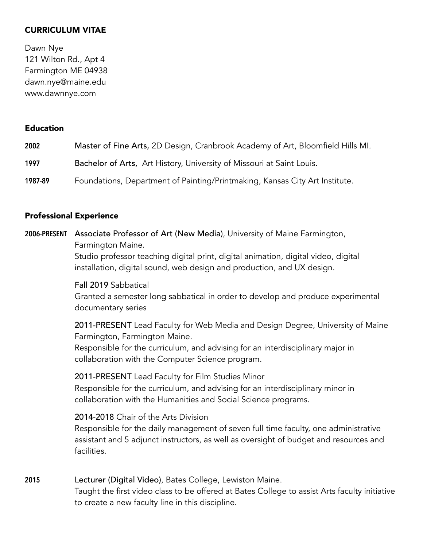## CURRICULUM VITAE

Dawn Nye 121 Wilton Rd., Apt 4 Farmington ME 04938 dawn.nye@maine.edu www.dawnnye.com

#### Education

| 2002    | Master of Fine Arts, 2D Design, Cranbrook Academy of Art, Bloomfield Hills MI. |
|---------|--------------------------------------------------------------------------------|
| 1997    | Bachelor of Arts, Art History, University of Missouri at Saint Louis.          |
| 1987-89 | Foundations, Department of Painting/Printmaking, Kansas City Art Institute.    |

#### Professional Experience

**2006-PRESENT** Associate Professor of Art (New Media), University of Maine Farmington, Farmington Maine.

> Studio professor teaching digital print, digital animation, digital video, digital installation, digital sound, web design and production, and UX design.

Fall 2019 Sabbatical

Granted a semester long sabbatical in order to develop and produce experimental documentary series

 2011-PRESENT Lead Faculty for Web Media and Design Degree, University of Maine Farmington, Farmington Maine.

Responsible for the curriculum, and advising for an interdisciplinary major in collaboration with the Computer Science program.

2011-PRESENT Lead Faculty for Film Studies Minor

Responsible for the curriculum, and advising for an interdisciplinary minor in collaboration with the Humanities and Social Science programs.

2014-2018 Chair of the Arts Division

Responsible for the daily management of seven full time faculty, one administrative assistant and 5 adjunct instructors, as well as oversight of budget and resources and facilities.

**2015** Lecturer (Digital Video), Bates College, Lewiston Maine. Taught the first video class to be offered at Bates College to assist Arts faculty initiative to create a new faculty line in this discipline.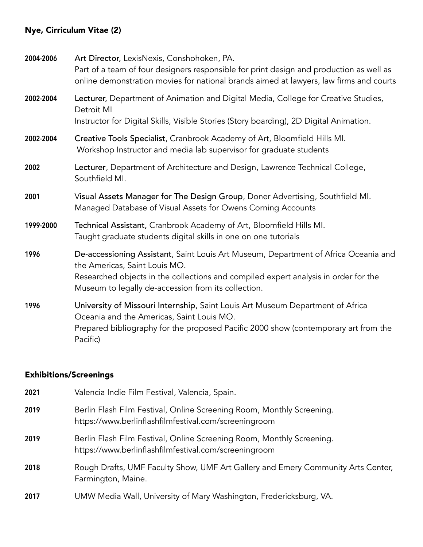## Nye, Cirriculum Vitae (2)

**2004-2006** Art Director, LexisNexis, Conshohoken, PA. Part of a team of four designers responsible for print design and production as well as online demonstration movies for national brands aimed at lawyers, law firms and courts **2002-2004** Lecturer, Department of Animation and Digital Media, College for Creative Studies, Detroit MI Instructor for Digital Skills, Visible Stories (Story boarding), 2D Digital Animation. **2002-2004** Creative Tools Specialist, Cranbrook Academy of Art, Bloomfield Hills MI. Workshop Instructor and media lab supervisor for graduate students **2002** Lecturer, Department of Architecture and Design, Lawrence Technical College, Southfield MI. **2001** Visual Assets Manager for The Design Group, Doner Advertising, Southfield MI. Managed Database of Visual Assets for Owens Corning Accounts **1999-2000** Technical Assistant, Cranbrook Academy of Art, Bloomfield Hills MI. Taught graduate students digital skills in one on one tutorials **1996** De-accessioning Assistant, Saint Louis Art Museum, Department of Africa Oceania and the Americas, Saint Louis MO. Researched objects in the collections and compiled expert analysis in order for the Museum to legally de-accession from its collection. **1996** University of Missouri Internship, Saint Louis Art Museum Department of Africa Oceania and the Americas, Saint Louis MO. Prepared bibliography for the proposed Pacific 2000 show (contemporary art from the Pacific)

#### Exhibitions/Screenings

| 2021 | Valencia Indie Film Festival, Valencia, Spain.                                                                                 |
|------|--------------------------------------------------------------------------------------------------------------------------------|
| 2019 | Berlin Flash Film Festival, Online Screening Room, Monthly Screening.<br>https://www.berlinflashfilmfestival.com/screeningroom |
| 2019 | Berlin Flash Film Festival, Online Screening Room, Monthly Screening.<br>https://www.berlinflashfilmfestival.com/screeningroom |
| 2018 | Rough Drafts, UMF Faculty Show, UMF Art Gallery and Emery Community Arts Center,<br>Farmington, Maine.                         |
| 2017 | UMW Media Wall, University of Mary Washington, Fredericksburg, VA.                                                             |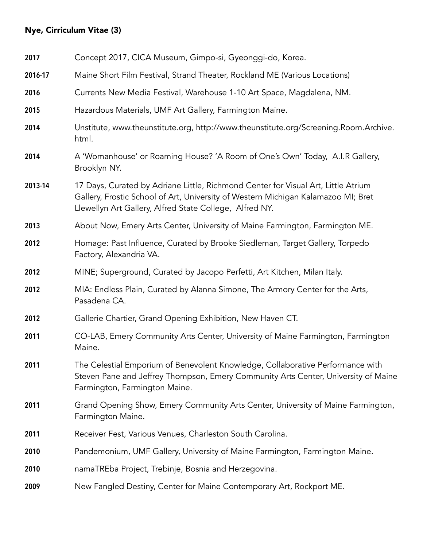# Nye, Cirriculum Vitae (3)

| 2017    | Concept 2017, CICA Museum, Gimpo-si, Gyeonggi-do, Korea.                                                                                                                                                                          |
|---------|-----------------------------------------------------------------------------------------------------------------------------------------------------------------------------------------------------------------------------------|
| 2016-17 | Maine Short Film Festival, Strand Theater, Rockland ME (Various Locations)                                                                                                                                                        |
| 2016    | Currents New Media Festival, Warehouse 1-10 Art Space, Magdalena, NM.                                                                                                                                                             |
| 2015    | Hazardous Materials, UMF Art Gallery, Farmington Maine.                                                                                                                                                                           |
| 2014    | Unstitute, www.theunstitute.org, http://www.theunstitute.org/Screening.Room.Archive.<br>html.                                                                                                                                     |
| 2014    | A 'Womanhouse' or Roaming House? 'A Room of One's Own' Today, A.I.R Gallery,<br>Brooklyn NY.                                                                                                                                      |
| 2013-14 | 17 Days, Curated by Adriane Little, Richmond Center for Visual Art, Little Atrium<br>Gallery, Frostic School of Art, University of Western Michigan Kalamazoo MI; Bret<br>Llewellyn Art Gallery, Alfred State College, Alfred NY. |
| 2013    | About Now, Emery Arts Center, University of Maine Farmington, Farmington ME.                                                                                                                                                      |
| 2012    | Homage: Past Influence, Curated by Brooke Siedleman, Target Gallery, Torpedo<br>Factory, Alexandria VA.                                                                                                                           |
| 2012    | MINE; Superground, Curated by Jacopo Perfetti, Art Kitchen, Milan Italy.                                                                                                                                                          |
| 2012    | MIA: Endless Plain, Curated by Alanna Simone, The Armory Center for the Arts,<br>Pasadena CA.                                                                                                                                     |
| 2012    | Gallerie Chartier, Grand Opening Exhibition, New Haven CT.                                                                                                                                                                        |
| 2011    | CO-LAB, Emery Community Arts Center, University of Maine Farmington, Farmington<br>Maine.                                                                                                                                         |
| 2011    | The Celestial Emporium of Benevolent Knowledge, Collaborative Performance with<br>Steven Pane and Jeffrey Thompson, Emery Community Arts Center, University of Maine<br>Farmington, Farmington Maine.                             |
| 2011    | Grand Opening Show, Emery Community Arts Center, University of Maine Farmington,<br>Farmington Maine.                                                                                                                             |
| 2011    | Receiver Fest, Various Venues, Charleston South Carolina.                                                                                                                                                                         |
| 2010    | Pandemonium, UMF Gallery, University of Maine Farmington, Farmington Maine.                                                                                                                                                       |
| 2010    | namaTREba Project, Trebinje, Bosnia and Herzegovina.                                                                                                                                                                              |
| 2009    | New Fangled Destiny, Center for Maine Contemporary Art, Rockport ME.                                                                                                                                                              |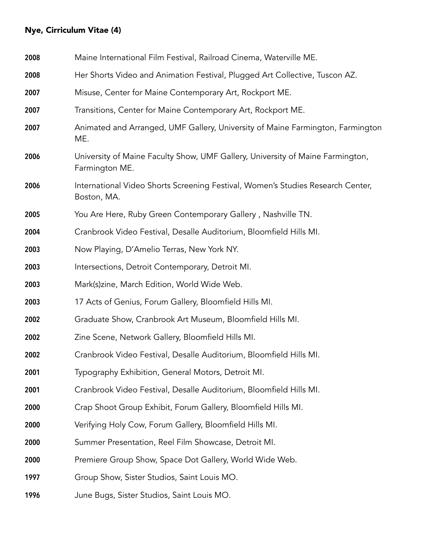# Nye, Cirriculum Vitae (4)

| 2008 | Maine International Film Festival, Railroad Cinema, Waterville ME.                               |
|------|--------------------------------------------------------------------------------------------------|
| 2008 | Her Shorts Video and Animation Festival, Plugged Art Collective, Tuscon AZ.                      |
| 2007 | Misuse, Center for Maine Contemporary Art, Rockport ME.                                          |
| 2007 | Transitions, Center for Maine Contemporary Art, Rockport ME.                                     |
| 2007 | Animated and Arranged, UMF Gallery, University of Maine Farmington, Farmington<br>ME.            |
| 2006 | University of Maine Faculty Show, UMF Gallery, University of Maine Farmington,<br>Farmington ME. |
| 2006 | International Video Shorts Screening Festival, Women's Studies Research Center,<br>Boston, MA.   |
| 2005 | You Are Here, Ruby Green Contemporary Gallery, Nashville TN.                                     |
| 2004 | Cranbrook Video Festival, Desalle Auditorium, Bloomfield Hills MI.                               |
| 2003 | Now Playing, D'Amelio Terras, New York NY.                                                       |
| 2003 | Intersections, Detroit Contemporary, Detroit MI.                                                 |
| 2003 | Mark(s)zine, March Edition, World Wide Web.                                                      |
| 2003 | 17 Acts of Genius, Forum Gallery, Bloomfield Hills MI.                                           |
| 2002 | Graduate Show, Cranbrook Art Museum, Bloomfield Hills MI.                                        |
| 2002 | Zine Scene, Network Gallery, Bloomfield Hills MI.                                                |
| 2002 | Cranbrook Video Festival, Desalle Auditorium, Bloomfield Hills MI.                               |
| 2001 | Typography Exhibition, General Motors, Detroit MI.                                               |
| 2001 | Cranbrook Video Festival, Desalle Auditorium, Bloomfield Hills MI.                               |
| 2000 | Crap Shoot Group Exhibit, Forum Gallery, Bloomfield Hills MI.                                    |
| 2000 | Verifying Holy Cow, Forum Gallery, Bloomfield Hills MI.                                          |
| 2000 | Summer Presentation, Reel Film Showcase, Detroit MI.                                             |
| 2000 | Premiere Group Show, Space Dot Gallery, World Wide Web.                                          |
| 1997 | Group Show, Sister Studios, Saint Louis MO.                                                      |
| 1996 | June Bugs, Sister Studios, Saint Louis MO.                                                       |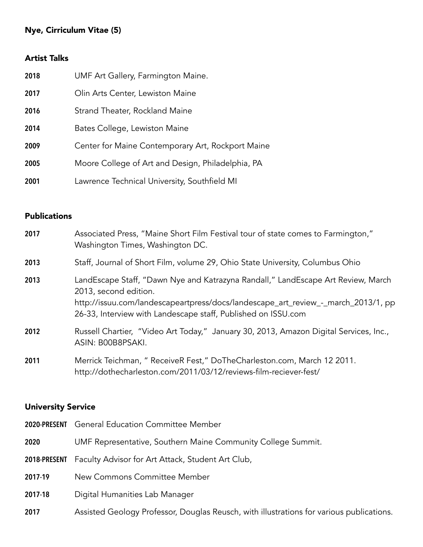## Nye, Cirriculum Vitae (5)

## Artist Talks

| 2018 | UMF Art Gallery, Farmington Maine.                |
|------|---------------------------------------------------|
| 2017 | Olin Arts Center, Lewiston Maine                  |
| 2016 | Strand Theater, Rockland Maine                    |
| 2014 | Bates College, Lewiston Maine                     |
| 2009 | Center for Maine Contemporary Art, Rockport Maine |
| 2005 | Moore College of Art and Design, Philadelphia, PA |
| 2001 | Lawrence Technical University, Southfield MI      |

## Publications

| 2017 | Associated Press, "Maine Short Film Festival tour of state comes to Farmington,"<br>Washington Times, Washington DC.                                                                                                                                            |
|------|-----------------------------------------------------------------------------------------------------------------------------------------------------------------------------------------------------------------------------------------------------------------|
| 2013 | Staff, Journal of Short Film, volume 29, Ohio State University, Columbus Ohio                                                                                                                                                                                   |
| 2013 | LandEscape Staff, "Dawn Nye and Katrazyna Randall," LandEscape Art Review, March<br>2013, second edition.<br>http://issuu.com/landescapeartpress/docs/landescape_art_review_-_march_2013/1, pp<br>26-33, Interview with Landescape staff, Published on ISSU.com |
| 2012 | Russell Chartier, "Video Art Today," January 30, 2013, Amazon Digital Services, Inc.,<br>ASIN: B00B8PSAKI.                                                                                                                                                      |
| 2011 | Merrick Teichman, " ReceiveR Fest," DoTheCharleston.com, March 12 2011.<br>http://dothecharleston.com/2011/03/12/reviews-film-reciever-fest/                                                                                                                    |

## University Service

|              | <b>2020-PRESENT</b> General Education Committee Member                                   |
|--------------|------------------------------------------------------------------------------------------|
| 2020         | UMF Representative, Southern Maine Community College Summit.                             |
| 2018-PRESENT | Faculty Advisor for Art Attack, Student Art Club,                                        |
| 2017-19      | New Commons Committee Member                                                             |
| 2017-18      | Digital Humanities Lab Manager                                                           |
| 2017         | Assisted Geology Professor, Douglas Reusch, with illustrations for various publications. |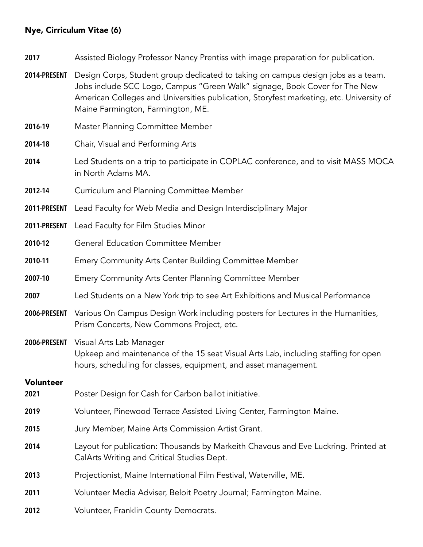### Nye, Cirriculum Vitae (6)

**2017** Assisted Biology Professor Nancy Prentiss with image preparation for publication.

- **2014-PRESENT** Design Corps, Student group dedicated to taking on campus design jobs as a team. Jobs include SCC Logo, Campus "Green Walk" signage, Book Cover for The New American Colleges and Universities publication, Storyfest marketing, etc. University of Maine Farmington, Farmington, ME.
- **2016-19** Master Planning Committee Member
- **2014-18** Chair, Visual and Performing Arts
- **2014** Led Students on a trip to participate in COPLAC conference, and to visit MASS MOCA in North Adams MA.
- **2012-14** Curriculum and Planning Committee Member
- **2011-PRESENT** Lead Faculty for Web Media and Design Interdisciplinary Major
- **2011-PRESENT** Lead Faculty for Film Studies Minor
- **2010-12** General Education Committee Member
- **2010-11** Emery Community Arts Center Building Committee Member
- **2007-10** Emery Community Arts Center Planning Committee Member
- **2007** Led Students on a New York trip to see Art Exhibitions and Musical Performance
- **2006-PRESENT** Various On Campus Design Work including posters for Lectures in the Humanities, Prism Concerts, New Commons Project, etc.
- **2006-PRESENT** Visual Arts Lab Manager Upkeep and maintenance of the 15 seat Visual Arts Lab, including staffing for open hours, scheduling for classes, equipment, and asset management.

#### Volunteer

- **2021** Poster Design for Cash for Carbon ballot initiative.
- **2019** Volunteer, Pinewood Terrace Assisted Living Center, Farmington Maine.
- **2015** Jury Member, Maine Arts Commission Artist Grant.
- **2014** Layout for publication: Thousands by Markeith Chavous and Eve Luckring. Printed at CalArts Writing and Critical Studies Dept.
- **2013** Projectionist, Maine International Film Festival, Waterville, ME.
- **2011** Volunteer Media Adviser, Beloit Poetry Journal; Farmington Maine.
- **2012** Volunteer, Franklin County Democrats.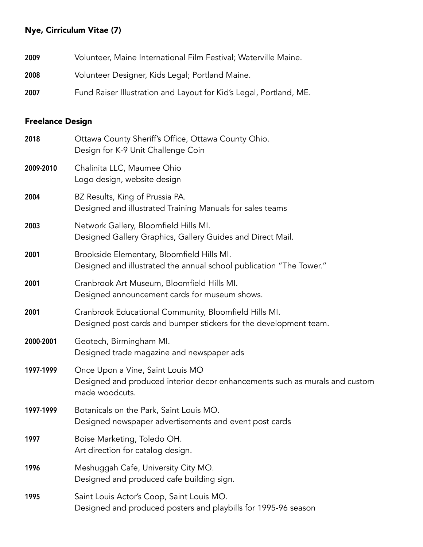# Nye, Cirriculum Vitae (7)

| 2009 | Volunteer, Maine International Film Festival; Waterville Maine.    |
|------|--------------------------------------------------------------------|
| 2008 | Volunteer Designer, Kids Legal; Portland Maine.                    |
| 2007 | Fund Raiser Illustration and Layout for Kid's Legal, Portland, ME. |

# Freelance Design

| 2018      | Ottawa County Sheriff's Office, Ottawa County Ohio.<br>Design for K-9 Unit Challenge Coin                                         |
|-----------|-----------------------------------------------------------------------------------------------------------------------------------|
| 2009-2010 | Chalinita LLC, Maumee Ohio<br>Logo design, website design                                                                         |
| 2004      | BZ Results, King of Prussia PA.<br>Designed and illustrated Training Manuals for sales teams                                      |
| 2003      | Network Gallery, Bloomfield Hills MI.<br>Designed Gallery Graphics, Gallery Guides and Direct Mail.                               |
| 2001      | Brookside Elementary, Bloomfield Hills MI.<br>Designed and illustrated the annual school publication "The Tower."                 |
| 2001      | Cranbrook Art Museum, Bloomfield Hills MI.<br>Designed announcement cards for museum shows.                                       |
| 2001      | Cranbrook Educational Community, Bloomfield Hills MI.<br>Designed post cards and bumper stickers for the development team.        |
| 2000-2001 | Geotech, Birmingham MI.<br>Designed trade magazine and newspaper ads                                                              |
| 1997-1999 | Once Upon a Vine, Saint Louis MO<br>Designed and produced interior decor enhancements such as murals and custom<br>made woodcuts. |
| 1997-1999 | Botanicals on the Park, Saint Louis MO.<br>Designed newspaper advertisements and event post cards                                 |
| 1997      | Boise Marketing, Toledo OH.<br>Art direction for catalog design.                                                                  |
| 1996      | Meshuggah Cafe, University City MO.<br>Designed and produced cafe building sign.                                                  |
| 1995      | Saint Louis Actor's Coop, Saint Louis MO.<br>Designed and produced posters and playbills for 1995-96 season                       |